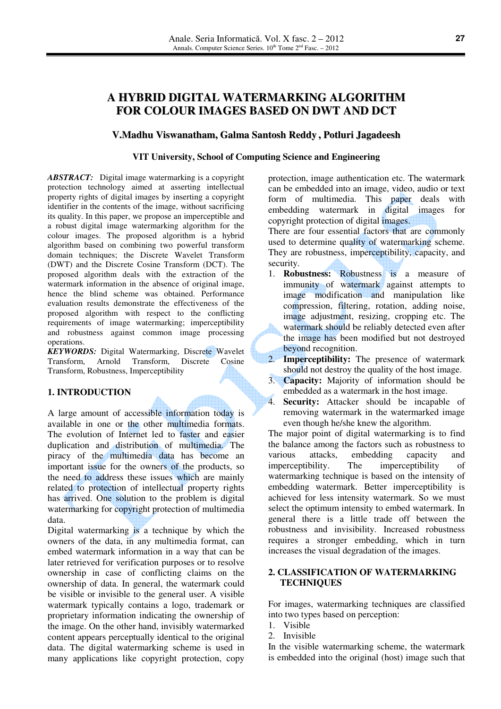# **A HYBRID DIGITAL WATERMARKING ALGORITHM FOR COLOUR IMAGES BASED ON DWT AND DCT**

## **V.Madhu Viswanatham, Galma Santosh Reddy , Potluri Jagadeesh**

#### **VIT University, School of Computing Science and Engineering**  Ì

*ABSTRACT:* Digital image watermarking is a copyright protection technology aimed at asserting intellectual property rights of digital images by inserting a copyright identifier in the contents of the image, without sacrificing its quality. In this paper, we propose an imperceptible and a robust digital image watermarking algorithm for the colour images. The proposed algorithm is a hybrid algorithm based on combining two powerful transform domain techniques; the Discrete Wavelet Transform (DWT) and the Discrete Cosine Transform (DCT). The proposed algorithm deals with the extraction of the watermark information in the absence of original image, hence the blind scheme was obtained. Performance evaluation results demonstrate the effectiveness of the proposed algorithm with respect to the conflicting requirements of image watermarking; imperceptibility and robustness against common image processing operations.

*KEYWORDS:* Digital Watermarking, Discrete Wavelet Transform, Arnold Transform, Discrete Cosine Transform, Robustness, Imperceptibility

#### **1. INTRODUCTION**

A large amount of accessible information today is available in one or the other multimedia formats. The evolution of Internet led to faster and easier duplication and distribution of multimedia. The piracy of the multimedia data has become an important issue for the owners of the products, so the need to address these issues which are mainly related to protection of intellectual property rights has arrived. One solution to the problem is digital watermarking for copyright protection of multimedia data.

Digital watermarking is a technique by which the owners of the data, in any multimedia format, can embed watermark information in a way that can be later retrieved for verification purposes or to resolve ownership in case of conflicting claims on the ownership of data. In general, the watermark could be visible or invisible to the general user. A visible watermark typically contains a logo, trademark or proprietary information indicating the ownership of the image. On the other hand, invisibly watermarked content appears perceptually identical to the original data. The digital watermarking scheme is used in many applications like copyright protection, copy

protection, image authentication etc. The watermark can be embedded into an image, video, audio or text form of multimedia. This paper deals with embedding watermark in digital images for copyright protection of digital images.

There are four essential factors that are commonly used to determine quality of watermarking scheme. They are robustness, imperceptibility, capacity, and security.

- 1. **Robustness:** Robustness is a measure of immunity of watermark against attempts to image modification and manipulation like compression, filtering, rotation, adding noise, image adjustment, resizing, cropping etc. The watermark should be reliably detected even after the image has been modified but not destroyed beyond recognition.
- 2. **Imperceptibility:** The presence of watermark should not destroy the quality of the host image.
- 3. **Capacity:** Majority of information should be embedded as a watermark in the host image.
- 4. **Security:** Attacker should be incapable of removing watermark in the watermarked image even though he/she knew the algorithm.

The major point of digital watermarking is to find the balance among the factors such as robustness to various attacks, embedding capacity and imperceptibility. The imperceptibility of watermarking technique is based on the intensity of embedding watermark. Better imperceptibility is achieved for less intensity watermark. So we must select the optimum intensity to embed watermark. In general there is a little trade off between the robustness and invisibility. Increased robustness requires a stronger embedding, which in turn increases the visual degradation of the images.

#### **2. CLASSIFICATION OF WATERMARKING TECHNIQUES**

For images, watermarking techniques are classified into two types based on perception:

- 1. Visible
- 2. Invisible

In the visible watermarking scheme, the watermark is embedded into the original (host) image such that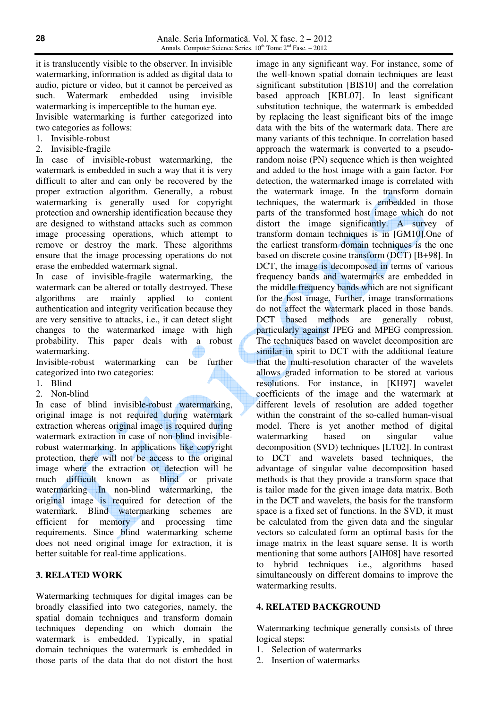it is translucently visible to the observer. In invisible watermarking, information is added as digital data to audio, picture or video, but it cannot be perceived as such. Watermark embedded using invisible watermarking is imperceptible to the human eye. Invisible watermarking is further categorized into two categories as follows:

- 1. Invisible-robust
- 2. Invisible-fragile

In case of invisible-robust watermarking, the watermark is embedded in such a way that it is very difficult to alter and can only be recovered by the proper extraction algorithm. Generally, a robust watermarking is generally used for copyright protection and ownership identification because they are designed to withstand attacks such as common image processing operations, which attempt to remove or destroy the mark. These algorithms ensure that the image processing operations do not erase the embedded watermark signal.

In case of invisible-fragile watermarking, the watermark can be altered or totally destroyed. These algorithms are mainly applied to content authentication and integrity verification because they are very sensitive to attacks, i.e., it can detect slight changes to the watermarked image with high probability. This paper deals with a robust watermarking.

Invisible-robust watermarking can be further categorized into two categories:

- 1. Blind
- 2. Non-blind

In case of blind invisible-robust watermarking, original image is not required during watermark extraction whereas original image is required during watermark extraction in case of non blind invisiblerobust watermarking. In applications like copyright protection, there will not be access to the original image where the extraction or detection will be much difficult known as blind or private watermarking .In non-blind watermarking, the original image is required for detection of the watermark. Blind watermarking schemes are efficient for memory and processing time requirements. Since blind watermarking scheme does not need original image for extraction, it is better suitable for real-time applications.

# **3. RELATED WORK**

Watermarking techniques for digital images can be broadly classified into two categories, namely, the spatial domain techniques and transform domain techniques depending on which domain the watermark is embedded. Typically, in spatial domain techniques the watermark is embedded in those parts of the data that do not distort the host

image in any significant way. For instance, some of the well-known spatial domain techniques are least significant substitution [BIS10] and the correlation based approach [KBL07]. In least significant substitution technique, the watermark is embedded by replacing the least significant bits of the image data with the bits of the watermark data. There are many variants of this technique. In correlation based approach the watermark is converted to a pseudorandom noise (PN) sequence which is then weighted and added to the host image with a gain factor. For detection, the watermarked image is correlated with the watermark image. In the transform domain techniques, the watermark is embedded in those parts of the transformed host image which do not distort the image significantly. A survey of transform domain techniques is in [GM10].One of the earliest transform domain techniques is the one based on discrete cosine transform (DCT) [B+98]. In DCT, the image is decomposed in terms of various frequency bands and watermarks are embedded in the middle frequency bands which are not significant for the host image. Further, image transformations do not affect the watermark placed in those bands. DCT based methods are generally robust, particularly against JPEG and MPEG compression. The techniques based on wavelet decomposition are similar in spirit to DCT with the additional feature that the multi-resolution character of the wavelets allows graded information to be stored at various resolutions. For instance, in [KH97] wavelet coefficients of the image and the watermark at different levels of resolution are added together within the constraint of the so-called human-visual model. There is yet another method of digital watermarking based on singular value decomposition (SVD) techniques [LT02]. In contrast to DCT and wavelets based techniques, the advantage of singular value decomposition based methods is that they provide a transform space that is tailor made for the given image data matrix. Both in the DCT and wavelets, the basis for the transform space is a fixed set of functions. In the SVD, it must be calculated from the given data and the singular vectors so calculated form an optimal basis for the image matrix in the least square sense. It is worth mentioning that some authors [AlH08] have resorted to hybrid techniques i.e., algorithms based simultaneously on different domains to improve the watermarking results.

# **4. RELATED BACKGROUND**

Watermarking technique generally consists of three logical steps:

- 1. Selection of watermarks
- 2. Insertion of watermarks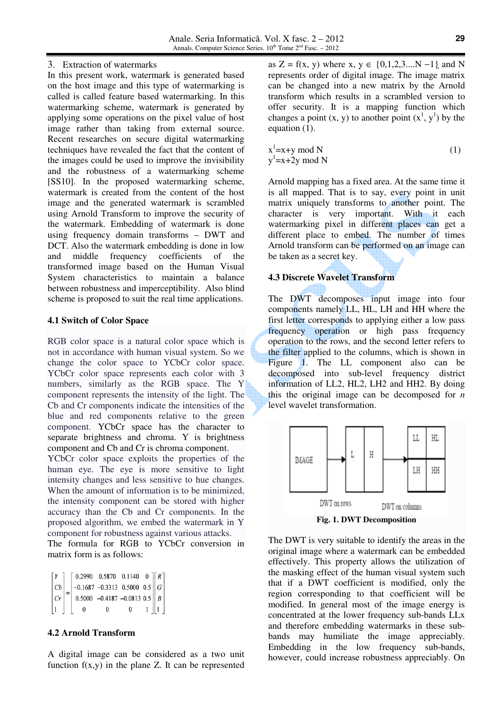#### 3. Extraction of watermarks

In this present work, watermark is generated based on the host image and this type of watermarking is called is called feature based watermarking. In this watermarking scheme, watermark is generated by applying some operations on the pixel value of host image rather than taking from external source. Recent researches on secure digital watermarking techniques have revealed the fact that the content of the images could be used to improve the invisibility and the robustness of a watermarking scheme [SS10]. In the proposed watermarking scheme, watermark is created from the content of the host image and the generated watermark is scrambled using Arnold Transform to improve the security of the watermark. Embedding of watermark is done using frequency domain transforms – DWT and DCT. Also the watermark embedding is done in low<br>and middle frequency coefficients of the and middle frequency coefficients of the transformed image based on the Human Visual System characteristics to maintain a balance between robustness and imperceptibility. Also blind scheme is proposed to suit the real time applications.

#### **4.1 Switch of Color Space**

RGB color space is a natural color space which is not in accordance with human visual system. So we change the color space to YCbCr color space. YCbCr color space represents each color with 3 numbers, similarly as the RGB space. The Y component represents the intensity of the light. The Cb and Cr components indicate the intensities of the blue and red components relative to the green component. YCbCr space has the character to separate brightness and chroma. Y is brightness component and Cb and Cr is chroma component.

YCbCr color space exploits the properties of the human eye. The eye is more sensitive to light intensity changes and less sensitive to hue changes. When the amount of information is to be minimized, the intensity component can be stored with higher accuracy than the Cb and Cr components. In the proposed algorithm, we embed the watermark in Y component for robustness against various attacks.

The formula for RGB to YCbCr conversion in matrix form is as follows:

| Y         | $\begin{bmatrix} 0.2990 & 0.5870 & 0.1140 & 0 \end{bmatrix}$ $\begin{bmatrix} R \end{bmatrix}$ |   |   |                           |  |
|-----------|------------------------------------------------------------------------------------------------|---|---|---------------------------|--|
| Cb        | $-$ -0.1687 -0.3313 0.5000 0.5 $   G   $                                                       |   |   |                           |  |
|           | $ C_r $ = 0.5000 -0.4187 -0.0813 0.5    B                                                      |   |   |                           |  |
| $\vert$ 1 | $^{0}$                                                                                         | 0 | 0 | $1 \parallel 1 \parallel$ |  |

# **4.2 Arnold Transform**

A digital image can be considered as a two unit function  $f(x,y)$  in the plane Z. It can be represented

as  $Z = f(x, y)$  where  $x, y \in \{0, 1, 2, 3, \dots N - 1\}$  and N represents order of digital image. The image matrix can be changed into a new matrix by the Arnold transform which results in a scrambled version to offer security. It is a mapping function which changes a point  $(x, y)$  to another point  $(x<sup>1</sup>, y<sup>1</sup>)$  by the equation (1).

$$
x1=x+y mod N
$$
  
y<sup>1</sup>=x+2y mod N (1)

Arnold mapping has a fixed area. At the same time it is all mapped. That is to say, every point in unit matrix uniquely transforms to another point. The character is very important. With it each watermarking pixel in different places can get a different place to embed. The number of times Arnold transform can be performed on an image can be taken as a secret key.

# **4.3 Discrete Wavelet Transform**

The DWT decomposes input image into four components namely LL, HL, LH and HH where the first letter corresponds to applying either a low pass frequency operation or high pass frequency operation to the rows, and the second letter refers to the filter applied to the columns, which is shown in Figure 1. The LL component also can be decomposed into sub-level frequency district information of LL2, HL2, LH2 and HH2. By doing this the original image can be decomposed for *n*  level wavelet transformation.



**Fig. 1. DWT Decomposition** 

The DWT is very suitable to identify the areas in the original image where a watermark can be embedded effectively. This property allows the utilization of the masking effect of the human visual system such that if a DWT coefficient is modified, only the region corresponding to that coefficient will be modified. In general most of the image energy is concentrated at the lower frequency sub-bands LLx and therefore embedding watermarks in these subbands may humiliate the image appreciably. Embedding in the low frequency sub-bands, however, could increase robustness appreciably. On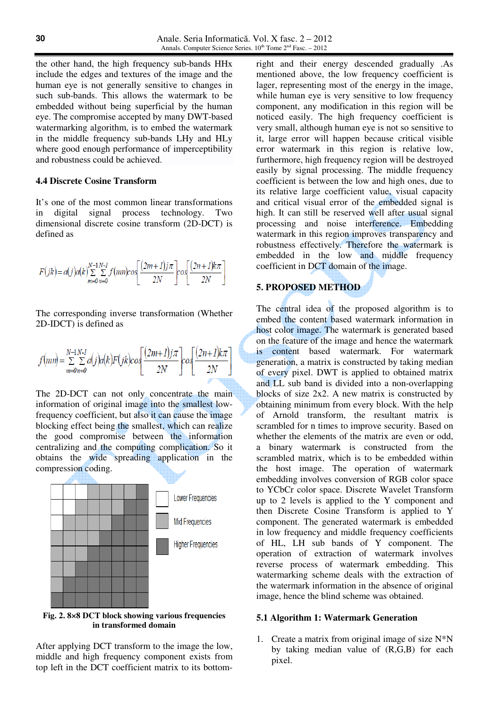the other hand, the high frequency sub-bands HHx include the edges and textures of the image and the human eye is not generally sensitive to changes in such sub-bands. This allows the watermark to be embedded without being superficial by the human eye. The compromise accepted by many DWT-based watermarking algorithm, is to embed the watermark in the middle frequency sub-bands LHy and HLy where good enough performance of imperceptibility and robustness could be achieved.

#### **4.4 Discrete Cosine Transform**

It's one of the most common linear transformations in digital signal process technology. Two dimensional discrete cosine transform (2D-DCT) is defined as

$$
F(jk) = a(j)a(k)\sum_{m=0}^{N-1}\sum_{n=0}^{N-1}f(mn)cos\left[\frac{(2m+1)j\pi}{2N}\right]cos\left[\frac{(2n+1)k\pi}{2N}\right]
$$

The corresponding inverse transformation (Whether 2D-IDCT) is defined as

$$
f(mn) = \sum_{m=0}^{N-1} \sum_{n=0}^{N-1} a(j)a(k)F(jk)cos\left(\frac{(2m+1)j\pi}{2N}\right)cos\left(\frac{(2n+1)k\pi}{2N}\right)
$$

The 2D-DCT can not only concentrate the main information of original image into the smallest lowfrequency coefficient, but also it can cause the image blocking effect being the smallest, which can realize the good compromise between the information centralizing and the computing complication. So it obtains the wide spreading application in the compression coding.



**Fig. 2. 8×8 DCT block showing various frequencies in transformed domain** 

After applying DCT transform to the image the low, middle and high frequency component exists from top left in the DCT coefficient matrix to its bottom-

right and their energy descended gradually .As mentioned above, the low frequency coefficient is lager, representing most of the energy in the image, while human eye is very sensitive to low frequency component, any modification in this region will be noticed easily. The high frequency coefficient is very small, although human eye is not so sensitive to it, large error will happen because critical visible error watermark in this region is relative low, furthermore, high frequency region will be destroyed easily by signal processing. The middle frequency coefficient is between the low and high ones, due to its relative large coefficient value, visual capacity and critical visual error of the embedded signal is high. It can still be reserved well after usual signal processing and noise interference. Embedding watermark in this region improves transparency and robustness effectively. Therefore the watermark is embedded in the low and middle frequency coefficient in DCT domain of the image.

# **5. PROPOSED METHOD**

The central idea of the proposed algorithm is to embed the content based watermark information in host color image. The watermark is generated based on the feature of the image and hence the watermark is content based watermark. For watermark generation, a matrix is constructed by taking median of every pixel. DWT is applied to obtained matrix and LL sub band is divided into a non-overlapping blocks of size 2x2. A new matrix is constructed by obtaining minimum from every block. With the help of Arnold transform, the resultant matrix is scrambled for n times to improve security. Based on whether the elements of the matrix are even or odd, a binary watermark is constructed from the scrambled matrix, which is to be embedded within the host image. The operation of watermark embedding involves conversion of RGB color space to YCbCr color space. Discrete Wavelet Transform up to 2 levels is applied to the Y component and then Discrete Cosine Transform is applied to Y component. The generated watermark is embedded in low frequency and middle frequency coefficients of HL, LH sub bands of Y component. The operation of extraction of watermark involves reverse process of watermark embedding. This watermarking scheme deals with the extraction of the watermark information in the absence of original image, hence the blind scheme was obtained.

#### **5.1 Algorithm 1: Watermark Generation**

1. Create a matrix from original image of size  $N^*N$ by taking median value of (R,G,B) for each pixel.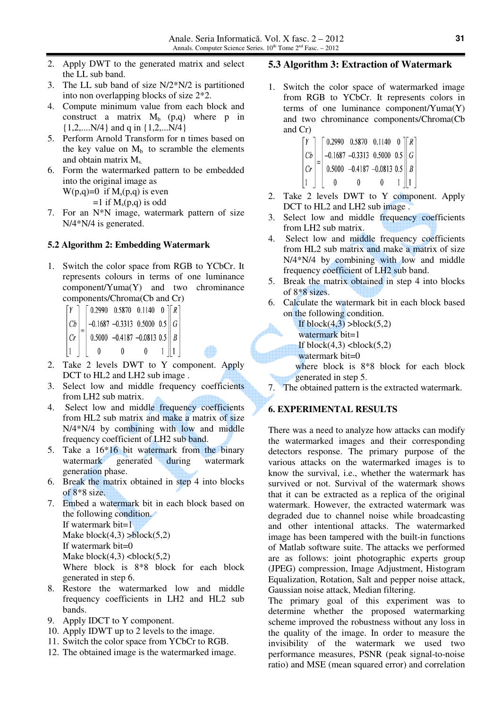- 2. Apply DWT to the generated matrix and select the LL sub band.
- 3. The LL sub band of size N/2\*N/2 is partitioned into non overlapping blocks of size 2\*2.
- 4. Compute minimum value from each block and construct a matrix  $M_b$  (p,q) where p in {1,2,....N/4} and q in {1,2,...N/4}
- 5. Perform Arnold Transform for n times based on the key value on  $M_b$  to scramble the elements and obtain matrix  $M_{s}$ .
- 6. Form the watermarked pattern to be embedded into the original image as

 $W(p,q)=0$  if  $M_s(p,q)$  is even  $=1$  if  $M_s(p,q)$  is odd

7. For an N\*N image, watermark pattern of size N/4\*N/4 is generated.

#### **5.2 Algorithm 2: Embedding Watermark**

1. Switch the color space from RGB to YCbCr. It represents colours in terms of one luminance component/Yuma(Y) and two chrominance components/Chroma(Cb and Cr)

$$
\begin{bmatrix} Y \\ Cb \\ Cr \end{bmatrix} = \begin{bmatrix} 0.2990 & 0.5870 & 0.1140 & 0 \\ -0.1687 & -0.3313 & 0.5000 & 0.5 \\ 0.5000 & -0.4187 & -0.0813 & 0.5 \\ 0 & 0 & 0 & 1 \end{bmatrix} \begin{bmatrix} R \\ G \\ B \\ R \end{bmatrix}
$$

- 2. Take 2 levels DWT to Y component. Apply DCT to HL2 and LH2 sub image.
- 3. Select low and middle frequency coefficients from LH2 sub matrix.
- 4. Select low and middle frequency coefficients from HL2 sub matrix and make a matrix of size N/4\*N/4 by combining with low and middle frequency coefficient of LH2 sub band.
- 5. Take a 16\*16 bit watermark from the binary watermark generated during watermark generation phase.
- 6. Break the matrix obtained in step 4 into blocks of 8\*8 size.
- 7. Embed a watermark bit in each block based on the following condition. If watermark bit= $1$ Make  $block(4,3) > block(5,2)$ If watermark bit=0 Make  $block(4,3)$  <br/> <br/> <br/> <br/> <br/> <br/> <br/> <br/> <br/> <br/> <br/> <br/> <br/> <br/> <br/> Make  $block(5,2)$ Where block is 8\*8 block for each block generated in step 6.
- 8. Restore the watermarked low and middle frequency coefficients in LH2 and HL2 sub bands.
- 9. Apply IDCT to Y component.
- 10. Apply IDWT up to 2 levels to the image.
- 11. Switch the color space from YCbCr to RGB.
- 12. The obtained image is the watermarked image.

## **5.3 Algorithm 3: Extraction of Watermark**

1. Switch the color space of watermarked image from RGB to YCbCr. It represents colors in terms of one luminance component/Yuma(Y) and two chrominance components/Chroma(Cb and Cr)

$$
\begin{bmatrix} Y \ Cb \ Cr \ 1 \end{bmatrix} = \begin{bmatrix} 0.2990 & 0.5870 & 0.1140 & 0 \\ -0.1687 & -0.3313 & 0.5000 & 0.5 \\ 0.5000 & -0.4187 & -0.0813 & 0.5 \\ 0 & 0 & 0 & 1 \end{bmatrix} \begin{bmatrix} R \\ G \\ B \\ B \end{bmatrix}
$$

- 2. Take 2 levels DWT to Y component. Apply DCT to HL2 and LH2 sub image.
- 3. Select low and middle frequency coefficients from LH2 sub matrix.
- 4. Select low and middle frequency coefficients from HL2 sub matrix and make a matrix of size N/4\*N/4 by combining with low and middle frequency coefficient of LH2 sub band.
- 5. Break the matrix obtained in step 4 into blocks of 8\*8 sizes.
- 6. Calculate the watermark bit in each block based on the following condition.
	- If block $(4,3)$  >block $(5,2)$
	- watermark bit=1
	- If block $(4,3)$   $$
	- watermark bit=0
	- where block is 8\*8 block for each block generated in step 5.
- 7. The obtained pattern is the extracted watermark.

# **6. EXPERIMENTAL RESULTS**

There was a need to analyze how attacks can modify the watermarked images and their corresponding detectors response. The primary purpose of the various attacks on the watermarked images is to know the survival, i.e., whether the watermark has survived or not. Survival of the watermark shows that it can be extracted as a replica of the original watermark. However, the extracted watermark was degraded due to channel noise while broadcasting and other intentional attacks. The watermarked image has been tampered with the built-in functions of Matlab software suite. The attacks we performed are as follows: joint photographic experts group (JPEG) compression, Image Adjustment, Histogram Equalization, Rotation, Salt and pepper noise attack, Gaussian noise attack, Median filtering.

The primary goal of this experiment was to determine whether the proposed watermarking scheme improved the robustness without any loss in the quality of the image. In order to measure the invisibility of the watermark we used two performance measures, PSNR (peak signal-to-noise ratio) and MSE (mean squared error) and correlation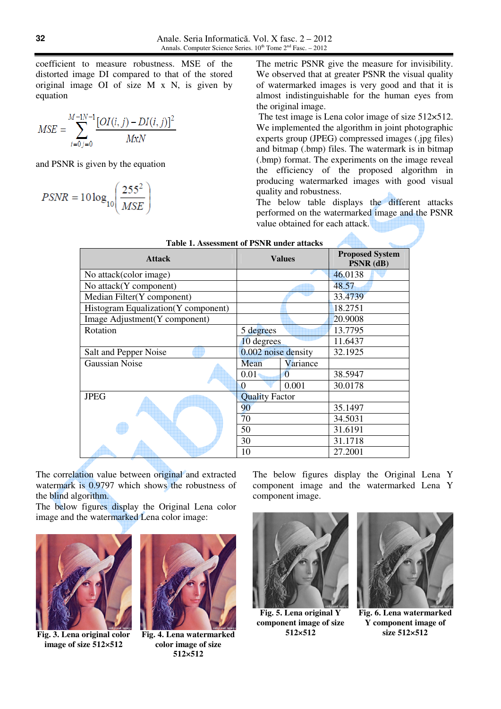coefficient to measure robustness. MSE of the distorted image DI compared to that of the stored original image OI of size M x N, is given by equation

$$
MSE = \sum_{i=0}^{M-1N-1} \frac{[OI(i,j) - DI(i,j)]^2}{MxN}
$$

and PSNR is given by the equation

$$
PSNR = 10 \log_{10} \left( \frac{255^2}{MSE} \right)
$$

The metric PSNR give the measure for invisibility. We observed that at greater PSNR the visual quality of watermarked images is very good and that it is almost indistinguishable for the human eyes from the original image.

The test image is Lena color image of size 512×512. We implemented the algorithm in joint photographic experts group (JPEG) compressed images (.jpg files) and bitmap (.bmp) files. The watermark is in bitmap (.bmp) format. The experiments on the image reveal the efficiency of the proposed algorithm in producing watermarked images with good visual quality and robustness.

The below table displays the different attacks performed on the watermarked image and the PSNR value obtained for each attack.

| Table 1. Assessment of PSNR under attacks |                       |                |                                     |  |
|-------------------------------------------|-----------------------|----------------|-------------------------------------|--|
| <b>Attack</b>                             | <b>Values</b>         |                | <b>Proposed System</b><br>PSNR (dB) |  |
| No attack(color image)                    |                       |                | 46.0138                             |  |
| No attack(Y component)                    |                       |                | 48.57                               |  |
| Median Filter(Y component)                |                       |                | 33.4739                             |  |
| Histogram Equalization(Y component)       |                       |                | 18.2751                             |  |
| Image Adjustment(Y component)             |                       |                | 20.9008                             |  |
| Rotation                                  | 5 degrees             |                | 13.7795                             |  |
|                                           | 10 degrees            |                | 11.6437                             |  |
| Salt and Pepper Noise                     | 0.002 noise density   |                | 32.1925                             |  |
| <b>Gaussian Noise</b>                     | Mean                  | Variance       |                                     |  |
|                                           | 0.01                  | $\overline{0}$ | 38.5947                             |  |
|                                           | $\Omega$              | 0.001          | 30.0178                             |  |
| <b>JPEG</b>                               | <b>Quality Factor</b> |                |                                     |  |
|                                           | 90                    |                | 35.1497                             |  |
|                                           | 70                    |                | 34.5031                             |  |
|                                           | 50                    |                | 31.6191                             |  |
|                                           | 30                    |                | 31.1718                             |  |
|                                           | 10                    |                | 27.2001                             |  |

The correlation value between original and extracted watermark is 0.9797 which shows the robustness of the blind algorithm.

The below figures display the Original Lena color image and the watermarked Lena color image:



**Fig. 3. Lena original color image of size 512×512**



**Fig. 4. Lena watermarked color image of size 512×512**

The below figures display the Original Lena Y component image and the watermarked Lena Y component image.



**Fig. 5. Lena original Y component image of size 512×512** 



**Fig. 6. Lena watermarked Y component image of size 512×512**